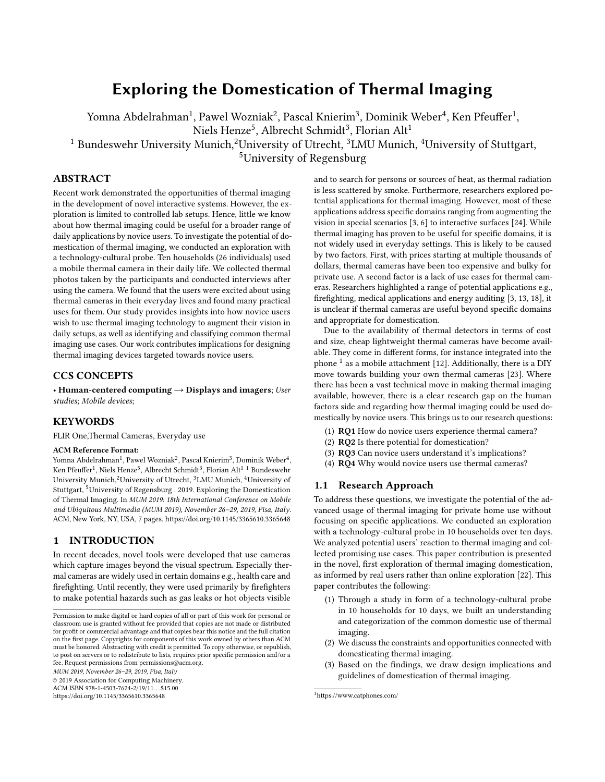# Exploring the Domestication of Thermal Imaging

Yomna Abdelrahman $^1$ , Pawel Wozniak $^2$ , Pascal Knierim $^3$ , Dominik Weber $^4$ , Ken Pfeuffer $^1$ ,

Niels Henze $^5$ , Albrecht Schmidt $^3$ , Florian Alt $^1$ 

<sup>1</sup> Bundeswehr University Munich,<sup>2</sup>University of Utrecht, <sup>3</sup>LMU Munich, <sup>4</sup>University of Stuttgart,

<sup>5</sup>University of Regensburg

# ABSTRACT

Recent work demonstrated the opportunities of thermal imaging in the development of novel interactive systems. However, the exploration is limited to controlled lab setups. Hence, little we know about how thermal imaging could be useful for a broader range of daily applications by novice users. To investigate the potential of domestication of thermal imaging, we conducted an exploration with a technology-cultural probe. Ten households (26 individuals) used a mobile thermal camera in their daily life. We collected thermal photos taken by the participants and conducted interviews after using the camera. We found that the users were excited about using thermal cameras in their everyday lives and found many practical uses for them. Our study provides insights into how novice users wish to use thermal imaging technology to augment their vision in daily setups, as well as identifying and classifying common thermal imaging use cases. Our work contributes implications for designing thermal imaging devices targeted towards novice users.

### CCS CONCEPTS

• Human-centered computing  $\rightarrow$  Displays and imagers; User studies; Mobile devices;

## KEYWORDS

FLIR One,Thermal Cameras, Everyday use

### ACM Reference Format:

Yomna Abdelrahman<sup>1</sup>, Pawel Wozniak<sup>2</sup>, Pascal Knierim<sup>3</sup>, Dominik Weber<sup>4</sup>, Ken Pfeuffer $^1$ , Niels Henze $^5$ , Albrecht Schmidt $^3$ , Florian Alt $^1$   $^1$  Bundeswehr University Munich,<sup>2</sup>University of Utrecht, <sup>3</sup>LMU Munich, <sup>4</sup>University of Stuttgart, <sup>5</sup>University of Regensburg . 2019. Exploring the Domestication of Thermal Imaging. In MUM 2019: 18th International Conference on Mobile and Ubiquitous Multimedia (MUM 2019), November 26–29, 2019, Pisa, Italy. ACM, New York, NY, USA, [7](#page-6-0) pages.<https://doi.org/10.1145/3365610.3365648>

### 1 INTRODUCTION

In recent decades, novel tools were developed that use cameras which capture images beyond the visual spectrum. Especially thermal cameras are widely used in certain domains e.g., health care and firefighting. Until recently, they were used primarily by firefighters to make potential hazards such as gas leaks or hot objects visible

MUM 2019, November 26–29, 2019, Pisa, Italy

© 2019 Association for Computing Machinery.

ACM ISBN 978-1-4503-7624-2/19/11...\$15.00

<https://doi.org/10.1145/3365610.3365648>

and to search for persons or sources of heat, as thermal radiation is less scattered by smoke. Furthermore, researchers explored potential applications for thermal imaging. However, most of these applications address specific domains ranging from augmenting the vision in special scenarios [\[3,](#page-6-1) [6\]](#page-6-2) to interactive surfaces [\[24\]](#page-6-3). While thermal imaging has proven to be useful for specific domains, it is not widely used in everyday settings. This is likely to be caused by two factors. First, with prices starting at multiple thousands of dollars, thermal cameras have been too expensive and bulky for private use. A second factor is a lack of use cases for thermal cameras. Researchers highlighted a range of potential applications e.g., firefighting, medical applications and energy auditing [\[3,](#page-6-1) [13,](#page-6-4) [18\]](#page-6-5), it is unclear if thermal cameras are useful beyond specific domains and appropriate for domestication.

Due to the availability of thermal detectors in terms of cost and size, cheap lightweight thermal cameras have become available. They come in different forms, for instance integrated into the phone  $^1$  $^1$  as a mobile attachment [\[12\]](#page-6-6). Additionally, there is a DIY move towards building your own thermal cameras [\[23\]](#page-6-7). Where there has been a vast technical move in making thermal imaging available, however, there is a clear research gap on the human factors side and regarding how thermal imaging could be used domestically by novice users. This brings us to our research questions:

- (1) RQ1 How do novice users experience thermal camera?
- (2) RQ2 Is there potential for domestication?
- (3) RQ3 Can novice users understand it's implications?
- (4) RQ4 Why would novice users use thermal cameras?

#### 1.1 Research Approach

To address these questions, we investigate the potential of the advanced usage of thermal imaging for private home use without focusing on specific applications. We conducted an exploration with a technology-cultural probe in 10 households over ten days. We analyzed potential users' reaction to thermal imaging and collected promising use cases. This paper contribution is presented in the novel, first exploration of thermal imaging domestication, as informed by real users rather than online exploration [\[22\]](#page-6-8). This paper contributes the following:

- (1) Through a study in form of a technology-cultural probe in 10 households for 10 days, we built an understanding and categorization of the common domestic use of thermal imaging.
- (2) We discuss the constraints and opportunities connected with domesticating thermal imaging.
- Based on the findings, we draw design implications and guidelines of domestication of thermal imaging.

Permission to make digital or hard copies of all or part of this work for personal or classroom use is granted without fee provided that copies are not made or distributed for profit or commercial advantage and that copies bear this notice and the full citation on the first page. Copyrights for components of this work owned by others than ACM must be honored. Abstracting with credit is permitted. To copy otherwise, or republish, to post on servers or to redistribute to lists, requires prior specific permission and/or a fee. Request permissions from permissions@acm.org.

<span id="page-0-0"></span><sup>1</sup>https://www.catphones.com/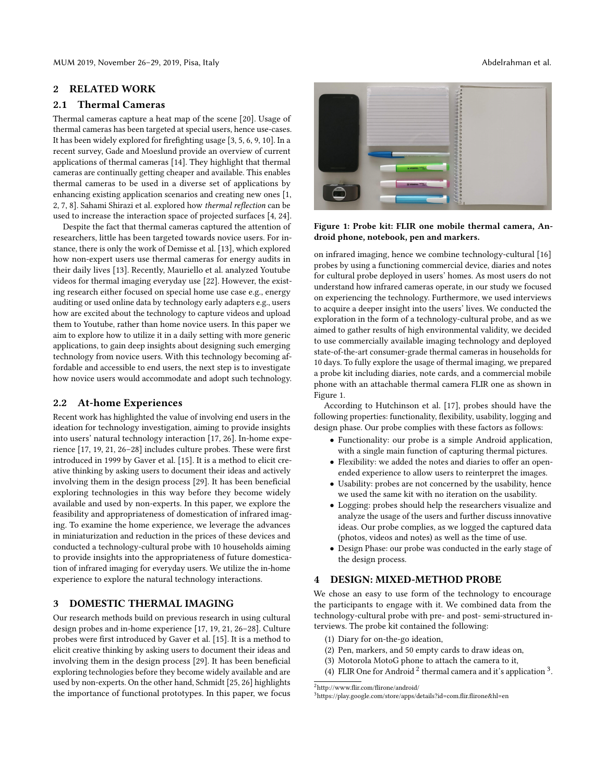MUM 2019, November 26–29, 2019, Pisa, Italy Abdelrahman et al.

## 2 RELATED WORK

# 2.1 Thermal Cameras

Thermal cameras capture a heat map of the scene [\[20\]](#page-6-9). Usage of thermal cameras has been targeted at special users, hence use-cases. It has been widely explored for firefighting usage [\[3,](#page-6-1) [5,](#page-6-10) [6,](#page-6-2) [9,](#page-6-11) [10\]](#page-6-12). In a recent survey, Gade and Moeslund provide an overview of current applications of thermal cameras [\[14\]](#page-6-13). They highlight that thermal cameras are continually getting cheaper and available. This enables thermal cameras to be used in a diverse set of applications by enhancing existing application scenarios and creating new ones [\[1,](#page-6-14) [2,](#page-6-15) [7,](#page-6-16) [8\]](#page-6-17). Sahami Shirazi et al. explored how thermal reflection can be used to increase the interaction space of projected surfaces [\[4,](#page-6-18) [24\]](#page-6-3).

Despite the fact that thermal cameras captured the attention of researchers, little has been targeted towards novice users. For instance, there is only the work of Demisse et al. [\[13\]](#page-6-4), which explored how non-expert users use thermal cameras for energy audits in their daily lives [\[13\]](#page-6-4). Recently, Mauriello et al. analyzed Youtube videos for thermal imaging everyday use [\[22\]](#page-6-8). However, the existing research either focused on special home use case e.g., energy auditing or used online data by technology early adapters e.g., users how are excited about the technology to capture videos and upload them to Youtube, rather than home novice users. In this paper we aim to explore how to utilize it in a daily setting with more generic applications, to gain deep insights about designing such emerging technology from novice users. With this technology becoming affordable and accessible to end users, the next step is to investigate how novice users would accommodate and adopt such technology.

### 2.2 At-home Experiences

Recent work has highlighted the value of involving end users in the ideation for technology investigation, aiming to provide insights into users' natural technology interaction [\[17,](#page-6-19) [26\]](#page-6-20). In-home experience [\[17,](#page-6-19) [19,](#page-6-21) [21,](#page-6-22) [26–](#page-6-20)[28\]](#page-6-23) includes culture probes. These were first introduced in 1999 by Gaver et al. [\[15\]](#page-6-24). It is a method to elicit creative thinking by asking users to document their ideas and actively involving them in the design process [\[29\]](#page-6-25). It has been beneficial exploring technologies in this way before they become widely available and used by non-experts. In this paper, we explore the feasibility and appropriateness of domestication of infrared imaging. To examine the home experience, we leverage the advances in miniaturization and reduction in the prices of these devices and conducted a technology-cultural probe with 10 households aiming to provide insights into the appropriateness of future domestication of infrared imaging for everyday users. We utilize the in-home experience to explore the natural technology interactions.

# 3 DOMESTIC THERMAL IMAGING

Our research methods build on previous research in using cultural design probes and in-home experience [\[17,](#page-6-19) [19,](#page-6-21) [21,](#page-6-22) [26–](#page-6-20)[28\]](#page-6-23). Culture probes were first introduced by Gaver et al. [\[15\]](#page-6-24). It is a method to elicit creative thinking by asking users to document their ideas and involving them in the design process [\[29\]](#page-6-25). It has been beneficial exploring technologies before they become widely available and are used by non-experts. On the other hand, Schmidt [\[25,](#page-6-26) [26\]](#page-6-20) highlights the importance of functional prototypes. In this paper, we focus

<span id="page-1-0"></span>

Figure 1: Probe kit: FLIR one mobile thermal camera, Android phone, notebook, pen and markers.

on infrared imaging, hence we combine technology-cultural [\[16\]](#page-6-27) probes by using a functioning commercial device, diaries and notes for cultural probe deployed in users' homes. As most users do not understand how infrared cameras operate, in our study we focused on experiencing the technology. Furthermore, we used interviews to acquire a deeper insight into the users' lives. We conducted the exploration in the form of a technology-cultural probe, and as we aimed to gather results of high environmental validity, we decided to use commercially available imaging technology and deployed state-of-the-art consumer-grade thermal cameras in households for 10 days. To fully explore the usage of thermal imaging, we prepared a probe kit including diaries, note cards, and a commercial mobile phone with an attachable thermal camera FLIR one as shown in Figure [1.](#page-1-0)

According to Hutchinson et al. [\[17\]](#page-6-19), probes should have the following properties: functionality, flexibility, usability, logging and design phase. Our probe complies with these factors as follows:

- Functionality: our probe is a simple Android application, with a single main function of capturing thermal pictures.
- Flexibility: we added the notes and diaries to offer an openended experience to allow users to reinterpret the images.
- Usability: probes are not concerned by the usability, hence we used the same kit with no iteration on the usability.
- Logging: probes should help the researchers visualize and analyze the usage of the users and further discuss innovative ideas. Our probe complies, as we logged the captured data (photos, videos and notes) as well as the time of use.
- Design Phase: our probe was conducted in the early stage of the design process.

### 4 DESIGN: MIXED-METHOD PROBE

We chose an easy to use form of the technology to encourage the participants to engage with it. We combined data from the technology-cultural probe with pre- and post- semi-structured interviews. The probe kit contained the following:

- (1) Diary for on-the-go ideation,
- (2) Pen, markers, and 50 empty cards to draw ideas on,
- (3) Motorola MotoG phone to attach the camera to it,
- (4) FLIR One for Android<sup>[2](#page-1-1)</sup> thermal camera and it's application<sup>[3](#page-1-2)</sup>.

<span id="page-1-1"></span> $^2$ <http://www.flir.com/flirone/android/>

<span id="page-1-2"></span><sup>3</sup><https://play.google.com/store/apps/details?id=com.flir.flirone&hl=en>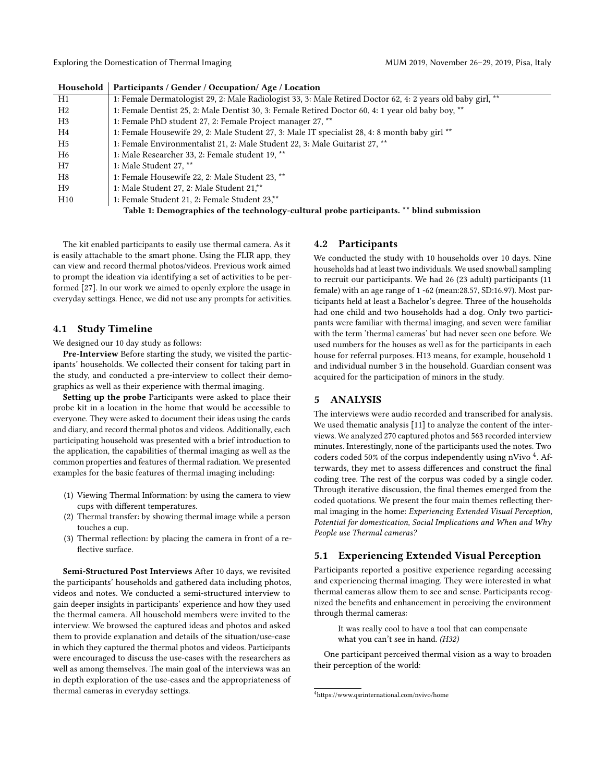Exploring the Domestication of Thermal Imaging The MUM 2019, November 26-29, 2019, Pisa, Italy

| <b>Housenoia</b>                                                                         | Participants / Gender / Occupation/Age / Location                                                           |  |
|------------------------------------------------------------------------------------------|-------------------------------------------------------------------------------------------------------------|--|
| H1                                                                                       | 1: Female Dermatologist 29, 2: Male Radiologist 33, 3: Male Retired Doctor 62, 4: 2 years old baby girl, ** |  |
| H2                                                                                       | 1: Female Dentist 25, 2: Male Dentist 30, 3: Female Retired Doctor 60, 4: 1 year old baby boy, **           |  |
| H <sub>3</sub>                                                                           | 1: Female PhD student 27, 2: Female Project manager 27, **                                                  |  |
| H4                                                                                       | 1: Female Housewife 29, 2: Male Student 27, 3: Male IT specialist 28, 4: 8 month baby girl **               |  |
| H5                                                                                       | 1: Female Environmentalist 21, 2: Male Student 22, 3: Male Guitarist 27, **                                 |  |
| H6                                                                                       | 1: Male Researcher 33, 2: Female student 19, **                                                             |  |
| H7                                                                                       | 1: Male Student 27, **                                                                                      |  |
| H8                                                                                       | 1: Female Housewife 22, 2: Male Student 23, **                                                              |  |
| H9                                                                                       | 1: Male Student 27, 2: Male Student 21,**                                                                   |  |
| H10                                                                                      | 1: Female Student 21, 2: Female Student 23,**                                                               |  |
| Table 1: Demographics of the technology-cultural probe participants. ** blind submission |                                                                                                             |  |

Household Participants / Gender / Occupation/ Age / Location

The kit enabled participants to easily use thermal camera. As it is easily attachable to the smart phone. Using the FLIR app, they can view and record thermal photos/videos. Previous work aimed to prompt the ideation via identifying a set of activities to be performed [\[27\]](#page-6-28). In our work we aimed to openly explore the usage in everyday settings. Hence, we did not use any prompts for activities.

### 4.1 Study Timeline

We designed our 10 day study as follows:

Pre-Interview Before starting the study, we visited the participants' households. We collected their consent for taking part in the study, and conducted a pre-interview to collect their demographics as well as their experience with thermal imaging.

Setting up the probe Participants were asked to place their probe kit in a location in the home that would be accessible to everyone. They were asked to document their ideas using the cards and diary, and record thermal photos and videos. Additionally, each participating household was presented with a brief introduction to the application, the capabilities of thermal imaging as well as the common properties and features of thermal radiation. We presented examples for the basic features of thermal imaging including:

- (1) Viewing Thermal Information: by using the camera to view cups with different temperatures.
- (2) Thermal transfer: by showing thermal image while a person touches a cup.
- (3) Thermal reflection: by placing the camera in front of a reflective surface.

Semi-Structured Post Interviews After 10 days, we revisited the participants' households and gathered data including photos, videos and notes. We conducted a semi-structured interview to gain deeper insights in participants' experience and how they used the thermal camera. All household members were invited to the interview. We browsed the captured ideas and photos and asked them to provide explanation and details of the situation/use-case in which they captured the thermal photos and videos. Participants were encouraged to discuss the use-cases with the researchers as well as among themselves. The main goal of the interviews was an in depth exploration of the use-cases and the appropriateness of thermal cameras in everyday settings.

### 4.2 Participants

We conducted the study with 10 households over 10 days. Nine households had at least two individuals. We used snowball sampling to recruit our participants. We had 26 (23 adult) participants (11 female) with an age range of 1 -62 (mean:28.57, SD:16.97). Most participants held at least a Bachelor's degree. Three of the households had one child and two households had a dog. Only two participants were familiar with thermal imaging, and seven were familiar with the term 'thermal cameras' but had never seen one before. We used numbers for the houses as well as for the participants in each house for referral purposes. H13 means, for example, household 1 and individual number 3 in the household. Guardian consent was acquired for the participation of minors in the study.

# 5 ANALYSIS

The interviews were audio recorded and transcribed for analysis. We used thematic analysis [\[11\]](#page-6-29) to analyze the content of the interviews. We analyzed 270 captured photos and 563 recorded interview minutes. Interestingly, none of the participants used the notes. Two coders coded 50% of the corpus independently using nVivo <sup>[4](#page-2-0)</sup>. Afterwards, they met to assess differences and construct the final coding tree. The rest of the corpus was coded by a single coder. Through iterative discussion, the final themes emerged from the coded quotations. We present the four main themes reflecting thermal imaging in the home: Experiencing Extended Visual Perception, Potential for domestication, Social Implications and When and Why People use Thermal cameras?

# 5.1 Experiencing Extended Visual Perception

Participants reported a positive experience regarding accessing and experiencing thermal imaging. They were interested in what thermal cameras allow them to see and sense. Participants recognized the benefits and enhancement in perceiving the environment through thermal cameras:

It was really cool to have a tool that can compensate what you can't see in hand. (H32)

One participant perceived thermal vision as a way to broaden their perception of the world:

<span id="page-2-0"></span><sup>4</sup><https://www.qsrinternational.com/nvivo/home>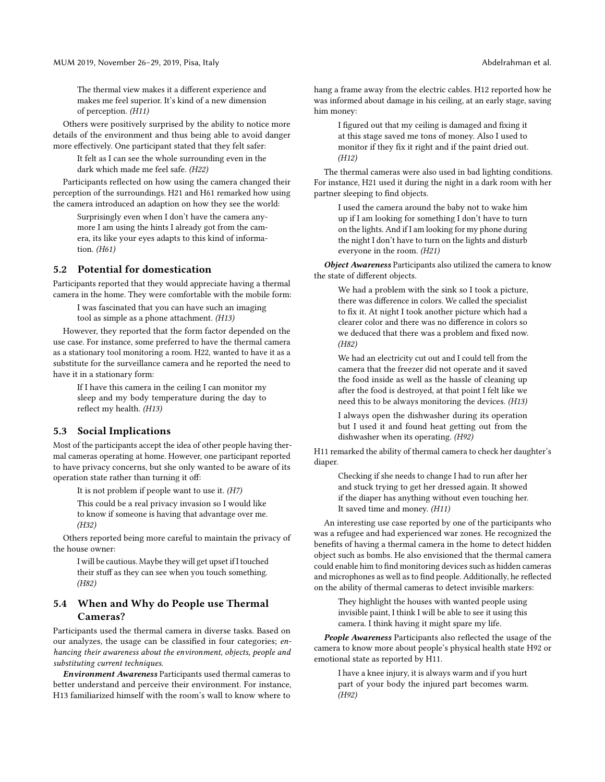The thermal view makes it a different experience and makes me feel superior. It's kind of a new dimension of perception. (H11)

Others were positively surprised by the ability to notice more details of the environment and thus being able to avoid danger more effectively. One participant stated that they felt safer:

It felt as I can see the whole surrounding even in the dark which made me feel safe. (H22)

Participants reflected on how using the camera changed their perception of the surroundings. H21 and H61 remarked how using the camera introduced an adaption on how they see the world:

Surprisingly even when I don't have the camera anymore I am using the hints I already got from the camera, its like your eyes adapts to this kind of information. (H61)

### 5.2 Potential for domestication

Participants reported that they would appreciate having a thermal camera in the home. They were comfortable with the mobile form:

I was fascinated that you can have such an imaging tool as simple as a phone attachment. (H13)

However, they reported that the form factor depended on the use case. For instance, some preferred to have the thermal camera as a stationary tool monitoring a room. H22, wanted to have it as a substitute for the surveillance camera and he reported the need to have it in a stationary form:

> If I have this camera in the ceiling I can monitor my sleep and my body temperature during the day to reflect my health. (H13)

### 5.3 Social Implications

Most of the participants accept the idea of other people having thermal cameras operating at home. However, one participant reported to have privacy concerns, but she only wanted to be aware of its operation state rather than turning it off:

It is not problem if people want to use it.  $(H7)$ 

This could be a real privacy invasion so I would like to know if someone is having that advantage over me. (H32)

Others reported being more careful to maintain the privacy of the house owner:

I will be cautious. Maybe they will get upset if I touched their stuff as they can see when you touch something. (H82)

# 5.4 When and Why do People use Thermal Cameras?

Participants used the thermal camera in diverse tasks. Based on our analyzes, the usage can be classified in four categories; enhancing their awareness about the environment, objects, people and substituting current techniques.

Environment Awareness Participants used thermal cameras to better understand and perceive their environment. For instance, H13 familiarized himself with the room's wall to know where to

hang a frame away from the electric cables. H12 reported how he was informed about damage in his ceiling, at an early stage, saving him money:

I figured out that my ceiling is damaged and fixing it at this stage saved me tons of money. Also I used to monitor if they fix it right and if the paint dried out. (H12)

The thermal cameras were also used in bad lighting conditions. For instance, H21 used it during the night in a dark room with her partner sleeping to find objects.

I used the camera around the baby not to wake him up if I am looking for something I don't have to turn on the lights. And if I am looking for my phone during the night I don't have to turn on the lights and disturb everyone in the room. (H21)

Object Awareness Participants also utilized the camera to know the state of different objects.

> We had a problem with the sink so I took a picture, there was difference in colors. We called the specialist to fix it. At night I took another picture which had a clearer color and there was no difference in colors so we deduced that there was a problem and fixed now. (H82)

> We had an electricity cut out and I could tell from the camera that the freezer did not operate and it saved the food inside as well as the hassle of cleaning up after the food is destroyed, at that point I felt like we need this to be always monitoring the devices. (H13)

> I always open the dishwasher during its operation but I used it and found heat getting out from the dishwasher when its operating. (H92)

H11 remarked the ability of thermal camera to check her daughter's diaper.

> Checking if she needs to change I had to run after her and stuck trying to get her dressed again. It showed if the diaper has anything without even touching her. It saved time and money. (H11)

An interesting use case reported by one of the participants who was a refugee and had experienced war zones. He recognized the benefits of having a thermal camera in the home to detect hidden object such as bombs. He also envisioned that the thermal camera could enable him to find monitoring devices such as hidden cameras and microphones as well as to find people. Additionally, he reflected on the ability of thermal cameras to detect invisible markers:

> They highlight the houses with wanted people using invisible paint, I think I will be able to see it using this camera. I think having it might spare my life.

People Awareness Participants also reflected the usage of the camera to know more about people's physical health state H92 or emotional state as reported by H11.

I have a knee injury, it is always warm and if you hurt part of your body the injured part becomes warm. (H92)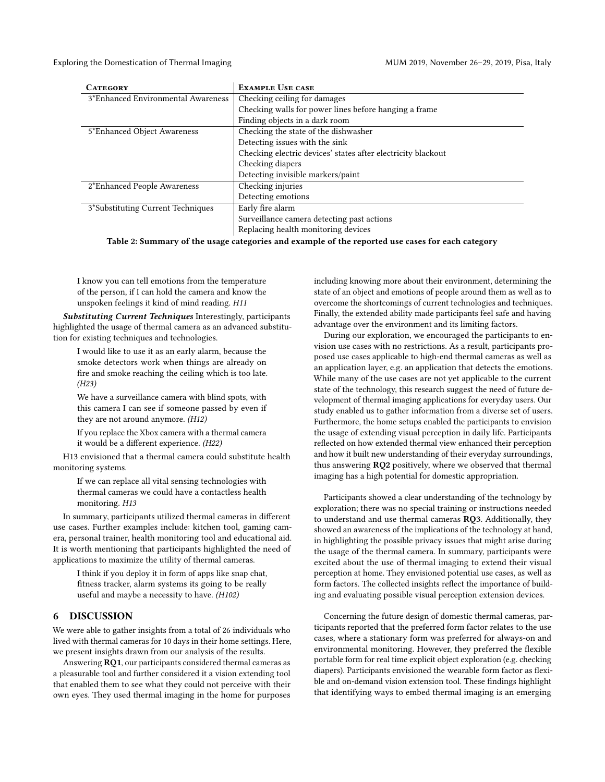Exploring the Domestication of Thermal Imaging The MUM 2019, November 26-29, 2019, Pisa, Italy

| <b>CATEGORY</b>                    | <b>EXAMPLE USE CASE</b>                                      |
|------------------------------------|--------------------------------------------------------------|
| 3*Enhanced Environmental Awareness | Checking ceiling for damages                                 |
|                                    | Checking walls for power lines before hanging a frame        |
|                                    | Finding objects in a dark room                               |
| 5*Enhanced Object Awareness        | Checking the state of the dishwasher                         |
|                                    | Detecting issues with the sink                               |
|                                    | Checking electric devices' states after electricity blackout |
|                                    | Checking diapers                                             |
|                                    | Detecting invisible markers/paint                            |
| 2*Enhanced People Awareness        | Checking injuries                                            |
|                                    | Detecting emotions                                           |
| 3*Substituting Current Techniques  | Early fire alarm                                             |
|                                    | Surveillance camera detecting past actions                   |
|                                    | Replacing health monitoring devices                          |

Table 2: Summary of the usage categories and example of the reported use cases for each category

I know you can tell emotions from the temperature of the person, if I can hold the camera and know the unspoken feelings it kind of mind reading. H11

Substituting Current Techniques Interestingly, participants highlighted the usage of thermal camera as an advanced substitution for existing techniques and technologies.

I would like to use it as an early alarm, because the smoke detectors work when things are already on fire and smoke reaching the ceiling which is too late. (H23)

We have a surveillance camera with blind spots, with this camera I can see if someone passed by even if they are not around anymore. (H12)

If you replace the Xbox camera with a thermal camera it would be a different experience. (H22)

H13 envisioned that a thermal camera could substitute health monitoring systems.

If we can replace all vital sensing technologies with thermal cameras we could have a contactless health monitoring. H13

In summary, participants utilized thermal cameras in different use cases. Further examples include: kitchen tool, gaming camera, personal trainer, health monitoring tool and educational aid. It is worth mentioning that participants highlighted the need of applications to maximize the utility of thermal cameras.

I think if you deploy it in form of apps like snap chat, fitness tracker, alarm systems its going to be really useful and maybe a necessity to have. (H102)

### 6 DISCUSSION

We were able to gather insights from a total of 26 individuals who lived with thermal cameras for 10 days in their home settings. Here, we present insights drawn from our analysis of the results.

Answering RQ1, our participants considered thermal cameras as a pleasurable tool and further considered it a vision extending tool that enabled them to see what they could not perceive with their own eyes. They used thermal imaging in the home for purposes

including knowing more about their environment, determining the state of an object and emotions of people around them as well as to overcome the shortcomings of current technologies and techniques. Finally, the extended ability made participants feel safe and having advantage over the environment and its limiting factors.

During our exploration, we encouraged the participants to envision use cases with no restrictions. As a result, participants proposed use cases applicable to high-end thermal cameras as well as an application layer, e.g. an application that detects the emotions. While many of the use cases are not yet applicable to the current state of the technology, this research suggest the need of future development of thermal imaging applications for everyday users. Our study enabled us to gather information from a diverse set of users. Furthermore, the home setups enabled the participants to envision the usage of extending visual perception in daily life. Participants reflected on how extended thermal view enhanced their perception and how it built new understanding of their everyday surroundings, thus answering RQ2 positively, where we observed that thermal imaging has a high potential for domestic appropriation.

Participants showed a clear understanding of the technology by exploration; there was no special training or instructions needed to understand and use thermal cameras RQ3. Additionally, they showed an awareness of the implications of the technology at hand, in highlighting the possible privacy issues that might arise during the usage of the thermal camera. In summary, participants were excited about the use of thermal imaging to extend their visual perception at home. They envisioned potential use cases, as well as form factors. The collected insights reflect the importance of building and evaluating possible visual perception extension devices.

Concerning the future design of domestic thermal cameras, participants reported that the preferred form factor relates to the use cases, where a stationary form was preferred for always-on and environmental monitoring. However, they preferred the flexible portable form for real time explicit object exploration (e.g. checking diapers). Participants envisioned the wearable form factor as flexible and on-demand vision extension tool. These findings highlight that identifying ways to embed thermal imaging is an emerging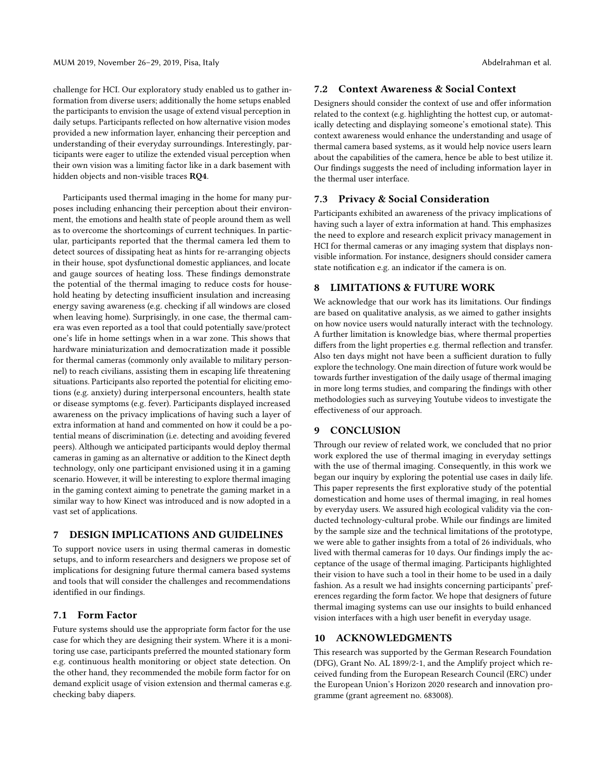challenge for HCI. Our exploratory study enabled us to gather information from diverse users; additionally the home setups enabled the participants to envision the usage of extend visual perception in daily setups. Participants reflected on how alternative vision modes provided a new information layer, enhancing their perception and understanding of their everyday surroundings. Interestingly, participants were eager to utilize the extended visual perception when their own vision was a limiting factor like in a dark basement with hidden objects and non-visible traces RQ4.

Participants used thermal imaging in the home for many purposes including enhancing their perception about their environment, the emotions and health state of people around them as well as to overcome the shortcomings of current techniques. In particular, participants reported that the thermal camera led them to detect sources of dissipating heat as hints for re-arranging objects in their house, spot dysfunctional domestic appliances, and locate and gauge sources of heating loss. These findings demonstrate the potential of the thermal imaging to reduce costs for household heating by detecting insufficient insulation and increasing energy saving awareness (e.g. checking if all windows are closed when leaving home). Surprisingly, in one case, the thermal camera was even reported as a tool that could potentially save/protect one's life in home settings when in a war zone. This shows that hardware miniaturization and democratization made it possible for thermal cameras (commonly only available to military personnel) to reach civilians, assisting them in escaping life threatening situations. Participants also reported the potential for eliciting emotions (e.g. anxiety) during interpersonal encounters, health state or disease symptoms (e.g. fever). Participants displayed increased awareness on the privacy implications of having such a layer of extra information at hand and commented on how it could be a potential means of discrimination (i.e. detecting and avoiding fevered peers). Although we anticipated participants would deploy thermal cameras in gaming as an alternative or addition to the Kinect depth technology, only one participant envisioned using it in a gaming scenario. However, it will be interesting to explore thermal imaging in the gaming context aiming to penetrate the gaming market in a similar way to how Kinect was introduced and is now adopted in a vast set of applications.

# 7 DESIGN IMPLICATIONS AND GUIDELINES

To support novice users in using thermal cameras in domestic setups, and to inform researchers and designers we propose set of implications for designing future thermal camera based systems and tools that will consider the challenges and recommendations identified in our findings.

#### 7.1 Form Factor

Future systems should use the appropriate form factor for the use case for which they are designing their system. Where it is a monitoring use case, participants preferred the mounted stationary form e.g. continuous health monitoring or object state detection. On the other hand, they recommended the mobile form factor for on demand explicit usage of vision extension and thermal cameras e.g. checking baby diapers.

### 7.2 Context Awareness & Social Context

Designers should consider the context of use and offer information related to the context (e.g. highlighting the hottest cup, or automatically detecting and displaying someone's emotional state). This context awareness would enhance the understanding and usage of thermal camera based systems, as it would help novice users learn about the capabilities of the camera, hence be able to best utilize it. Our findings suggests the need of including information layer in the thermal user interface.

# 7.3 Privacy & Social Consideration

Participants exhibited an awareness of the privacy implications of having such a layer of extra information at hand. This emphasizes the need to explore and research explicit privacy management in HCI for thermal cameras or any imaging system that displays nonvisible information. For instance, designers should consider camera state notification e.g. an indicator if the camera is on.

### 8 LIMITATIONS & FUTURE WORK

We acknowledge that our work has its limitations. Our findings are based on qualitative analysis, as we aimed to gather insights on how novice users would naturally interact with the technology. A further limitation is knowledge bias, where thermal properties differs from the light properties e.g. thermal reflection and transfer. Also ten days might not have been a sufficient duration to fully explore the technology. One main direction of future work would be towards further investigation of the daily usage of thermal imaging in more long terms studies, and comparing the findings with other methodologies such as surveying Youtube videos to investigate the effectiveness of our approach.

### 9 CONCLUSION

Through our review of related work, we concluded that no prior work explored the use of thermal imaging in everyday settings with the use of thermal imaging. Consequently, in this work we began our inquiry by exploring the potential use cases in daily life. This paper represents the first explorative study of the potential domestication and home uses of thermal imaging, in real homes by everyday users. We assured high ecological validity via the conducted technology-cultural probe. While our findings are limited by the sample size and the technical limitations of the prototype, we were able to gather insights from a total of 26 individuals, who lived with thermal cameras for 10 days. Our findings imply the acceptance of the usage of thermal imaging. Participants highlighted their vision to have such a tool in their home to be used in a daily fashion. As a result we had insights concerning participants' preferences regarding the form factor. We hope that designers of future thermal imaging systems can use our insights to build enhanced vision interfaces with a high user benefit in everyday usage.

### 10 ACKNOWLEDGMENTS

This research was supported by the German Research Foundation (DFG), Grant No. AL 1899/2-1, and the Amplify project which received funding from the European Research Council (ERC) under the European Union's Horizon 2020 research and innovation programme (grant agreement no. 683008).